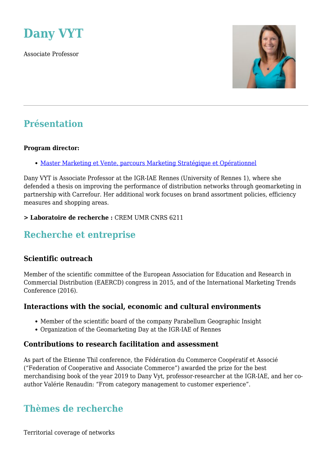

Associate Professor



## **Présentation**

#### **Program director:**

[Master Marketing et Vente, parcours Marketing Stratégique et Opérationnel](https://www.www.igr.univ-rennes1.fr/diplome/ap-master-marketing-droulers)

Dany VYT is Associate Professor at the IGR-IAE Rennes (University of Rennes 1), where she defended a thesis on improving the performance of distribution networks through geomarketing in partnership with Carrefour. Her additional work focuses on brand assortment policies, efficiency measures and shopping areas.

#### **> Laboratoire de recherche :** CREM UMR CNRS 6211

### **Recherche et entreprise**

#### **Scientific outreach**

Member of the scientific committee of the European Association for Education and Research in Commercial Distribution (EAERCD) congress in 2015, and of the International Marketing Trends Conference (2016).

#### **Interactions with the social, economic and cultural environments**

- Member of the scientific board of the company Parabellum Geographic Insight
- Organization of the Geomarketing Day at the IGR-IAE of Rennes

#### **Contributions to research facilitation and assessment**

As part of the Etienne Thil conference, the Fédération du Commerce Coopératif et Associé ("Federation of Cooperative and Associate Commerce") awarded the prize for the best merchandising book of the year 2019 to Dany Vyt, professor-researcher at the IGR-IAE, and her coauthor Valérie Renaudin: "From category management to customer experience".

## **Thèmes de recherche**

Territorial coverage of networks